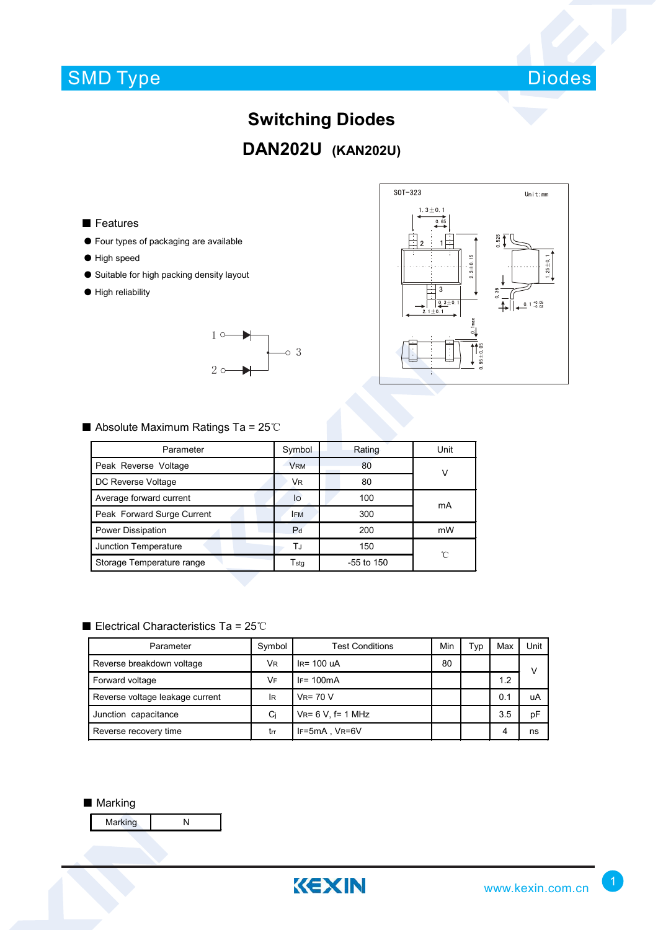## SMD Type



# **Switching Diodes DAN202U (KAN202U)**

### ■ Features

- Four types of packaging are available
- High speed
- Suitable for high packing density layout
- High reliability





#### ■ Absolute Maximum Ratings Ta = 25℃

| Parameter                  | Symbol         | Rating       | Unit |  |
|----------------------------|----------------|--------------|------|--|
| Peak Reverse Voltage       | <b>VRM</b>     | 80           | v    |  |
| DC Reverse Voltage         | VR             | 80           |      |  |
| Average forward current    | lo             | 100          | mA   |  |
| Peak Forward Surge Current | <b>IFM</b>     | 300          |      |  |
| Power Dissipation          | P <sub>d</sub> | 200          | mW   |  |
| Junction Temperature       | ΤJ             | 150          | °C   |  |
| Storage Temperature range  | Tstq           | $-55$ to 150 |      |  |

### ■ Electrical Characteristics Ta = 25℃

| Parameter                       | Symbol | <b>Test Conditions</b> | Min | Typ | Max | Unit |
|---------------------------------|--------|------------------------|-----|-----|-----|------|
| Reverse breakdown voltage       | VR.    | $IR= 100 uA$           | 80  |     |     | v    |
| Forward voltage                 | VF     | $IF = 100mA$           |     |     | 1.2 |      |
| Reverse voltage leakage current | lR     | $V_R = 70 V$           |     |     | 0.1 | uA   |
| Junction capacitance            | Ci     | $V_R = 6 V$ , f= 1 MHz |     |     | 3.5 | рF   |
| Reverse recovery time           | trr    | IF=5mA, VR=6V          |     |     | 4   | ns   |

#### ■ Marking

Marking N